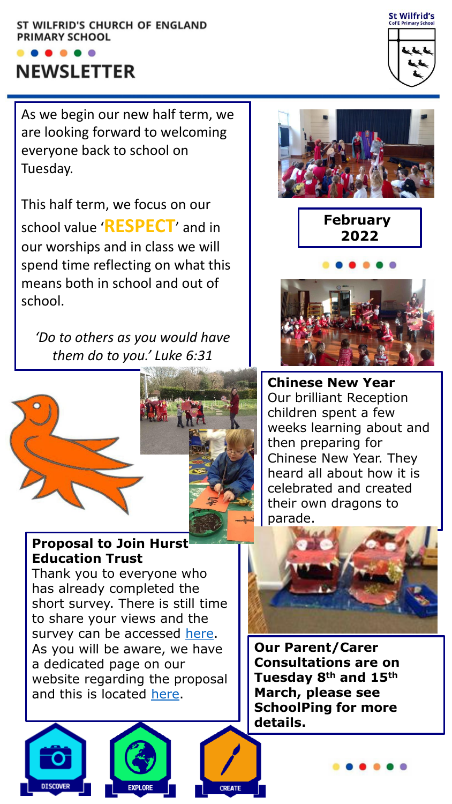#### ST WILFRID'S CHURCH OF ENGLAND PRIMARY SCHOOL

# $\bullet\hspace{0.1cm} \bullet\hspace{0.1cm} \bullet\hspace{0.1cm} \bullet\hspace{0.1cm} \bullet$ **NEWSLETTER**

As we begin our new half term, we are looking forward to welcoming everyone back to school on Tuesday.

This half term, we focus on our school value '**RESPECT**' and in our worships and in class we will spend time reflecting on what this means both in school and out of school.

*'Do to others as you would have them do to you.' Luke 6:31*



**ISCOVER** 



### **Proposal to Join Hurst Education Trust**

Thank you to everyone who has already completed the short survey. There is still time to share your views and the survey can be accessed [here](https://forms.office.com/pages/responsepage.aspx?id=svGAVGgduU-52bdeCKd3gRKuoZR_tPlLri_4fg1v5SRUM1RaTjQzWTlSOE05RlFRNlFJSTAzMzUwWC4u). As you will be aware, we have a dedicated page on our website regarding the proposal and this is located [here](https://www.stwilfrids-hh.school/web/proposal_to_join_hurst_education_trust/590927).











**Chinese New Year** Our brilliant Reception children spent a few weeks learning about and then preparing for Chinese New Year. They heard all about how it is celebrated and created their own dragons to parade.



**Our Parent/Carer Consultations are on Tuesday 8th and 15th March, please see SchoolPing for more details.**

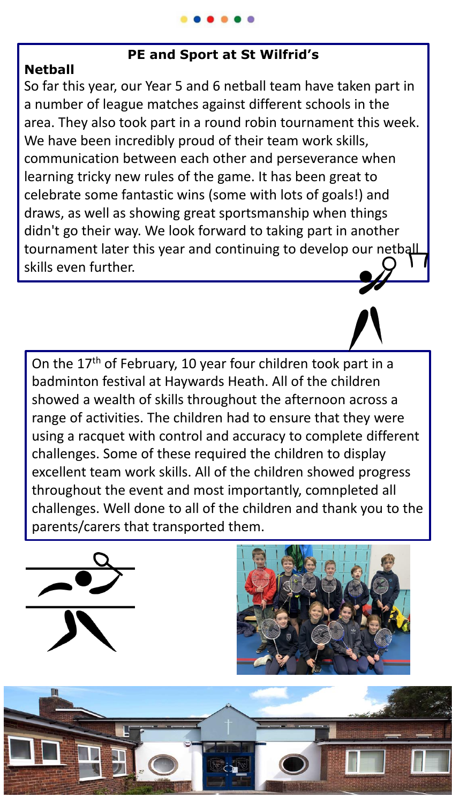# **PE and Sport at St Wilfrid's**

# **Netball**

So far this year, our Year 5 and 6 netball team have taken part in a number of league matches against different schools in the area. They also took part in a round robin tournament this week. We have been incredibly proud of their team work skills, communication between each other and perseverance when learning tricky new rules of the game. It has been great to celebrate some fantastic wins (some with lots of goals!) and draws, as well as showing great sportsmanship when things didn't go their way. We look forward to taking part in another tournament later this year and continuing to develop our netball skills even further.

On the 17<sup>th</sup> of February, 10 year four children took part in a badminton festival at Haywards Heath. All of the children showed a wealth of skills throughout the afternoon across a range of activities. The children had to ensure that they were using a racquet with control and accuracy to complete different challenges. Some of these required the children to display excellent team work skills. All of the children showed progress throughout the event and most importantly, comnpleted all challenges. Well done to all of the children and thank you to the parents/carers that transported them.